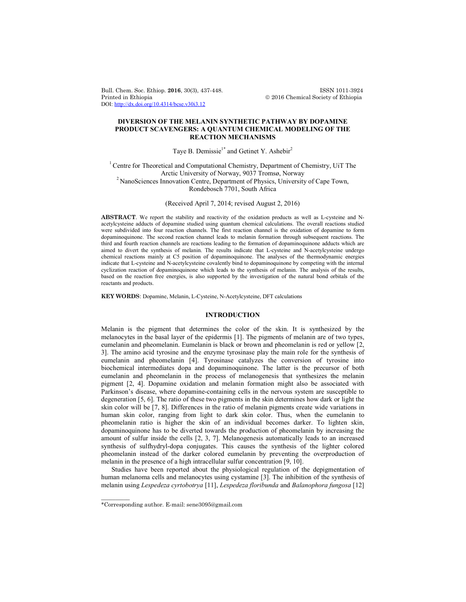Bull. Chem. Soc. Ethiop. **2016**, 30(3), 437-448. **ISSN 1011-3924**<br>Printed in Ethiopia **2016** Chemical Society of Ethiopia DOI: http://dx.doi.org/10.4314/bcse.v30i3.12

 $© 2016 Chemical Society of Ethiopia$ 

## **DIVERSION OF THE MELANIN SYNTHETIC PATHWAY BY DOPAMINE PRODUCT SCAVENGERS: A QUANTUM CHEMICAL MODELING OF THE REACTION MECHANISMS**

# Taye B. Demissie<sup>1\*</sup> and Getinet Y. Ashebir<sup>2</sup>

<sup>1</sup> Centre for Theoretical and Computational Chemistry, Department of Chemistry, UiT The Arctic University of Norway, 9037 Tromsø, Norway <sup>2</sup> NanoSciences Innovation Centre, Department of Physics, University of Cape Town, Rondebosch 7701, South Africa

(Received April 7, 2014; revised August 2, 2016)

**ABSTRACT**. We report the stability and reactivity of the oxidation products as well as L-cysteine and Nacetylcysteine adducts of dopamine studied using quantum chemical calculations. The overall reactions studied were subdivided into four reaction channels. The first reaction channel is the oxidation of dopamine to form dopaminoquinone. The second reaction channel leads to melanin formation through subsequent reactions. The third and fourth reaction channels are reactions leading to the formation of dopaminoquinone adducts which are aimed to divert the synthesis of melanin. The results indicate that L-cysteine and N-acetylcysteine undergo chemical reactions mainly at C5 position of dopaminoquinone. The analyses of the thermodynamic energies indicate that L-cysteine and N-acetylcysteine covalently bind to dopaminoquinone by competing with the internal cyclization reaction of dopaminoquinone which leads to the synthesis of melanin. The analysis of the results, based on the reaction free energies, is also supported by the investigation of the natural bond orbitals of the reactants and products.

**KEY WORDS**: Dopamine, Melanin, L-Cysteine, N-Acetylcysteine, DFT calculations

### **INTRODUCTION**

Melanin is the pigment that determines the color of the skin. It is synthesized by the melanocytes in the basal layer of the epidermis [1]. The pigments of melanin are of two types, eumelanin and pheomelanin. Eumelanin is black or brown and pheomelanin is red or yellow [2, 3]. The amino acid tyrosine and the enzyme tyrosinase play the main role for the synthesis of eumelanin and pheomelanin [4]. Tyrosinase catalyzes the conversion of tyrosine into biochemical intermediates dopa and dopaminoquinone. The latter is the precursor of both eumelanin and pheomelanin in the process of melanogenesis that synthesizes the melanin pigment [2, 4]. Dopamine oxidation and melanin formation might also be associated with Parkinson's disease, where dopamine-containing cells in the nervous system are susceptible to degeneration [5, 6]. The ratio of these two pigments in the skin determines how dark or light the skin color will be [7, 8]. Differences in the ratio of melanin pigments create wide variations in human skin color, ranging from light to dark skin color. Thus, when the eumelanin to pheomelanin ratio is higher the skin of an individual becomes darker. To lighten skin, dopaminoquinone has to be diverted towards the production of pheomelanin by increasing the amount of sulfur inside the cells [2, 3, 7]. Melanogenesis automatically leads to an increased synthesis of sulfhydryl-dopa conjugates. This causes the synthesis of the lighter colored pheomelanin instead of the darker colored eumelanin by preventing the overproduction of melanin in the presence of a high intracellular sulfur concentration [9, 10].

Studies have been reported about the physiological regulation of the depigmentation of human melanoma cells and melanocytes using cystamine [3]. The inhibition of the synthesis of melanin using *Lespedeza cyrtobotrya* [11], *Lespedeza floribunda* and *Balanophora fungosa* [12]

 $\overline{\phantom{a}}$ 

<sup>\*</sup>Corresponding author. E-mail: sene3095@gmail.com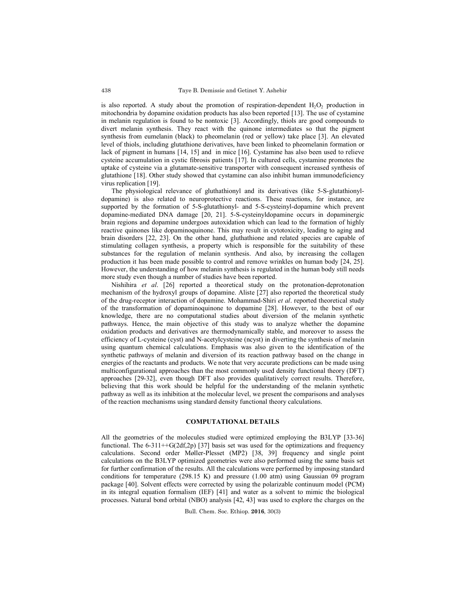is also reported. A study about the promotion of respiration-dependent  $H_2O_2$  production in mitochondria by dopamine oxidation products has also been reported [13]. The use of cystamine in melanin regulation is found to be nontoxic [3]. Accordingly, thiols are good compounds to divert melanin synthesis. They react with the quinone intermediates so that the pigment synthesis from eumelanin (black) to pheomelanin (red or yellow) take place [3]. An elevated level of thiols, including glutathione derivatives, have been linked to pheomelanin formation or lack of pigment in humans [14, 15] and in mice [16]. Cystamine has also been used to relieve cysteine accumulation in cystic fibrosis patients [17]. In cultured cells, cystamine promotes the uptake of cysteine via a glutamate-sensitive transporter with consequent increased synthesis of glutathione [18]. Other study showed that cystamine can also inhibit human immunodeficiency virus replication [19].

The physiological relevance of gluthathionyl and its derivatives (like 5-S-glutathionyldopamine) is also related to neuroprotective reactions. These reactions, for instance, are supported by the formation of 5-S-glutathionyl- and 5-S-cysteinyl-dopamine which prevent dopamine-mediated DNA damage [20, 21]. 5-S-cysteinyldopamine occurs in dopaminergic brain regions and dopamine undergoes autoxidation which can lead to the formation of highly reactive quinones like dopaminoquinone. This may result in cytotoxicity, leading to aging and brain disorders [22, 23]. On the other hand, gluthathione and related species are capable of stimulating collagen synthesis, a property which is responsible for the suitability of these substances for the regulation of melanin synthesis. And also, by increasing the collagen production it has been made possible to control and remove wrinkles on human body [24, 25]. However, the understanding of how melanin synthesis is regulated in the human body still needs more study even though a number of studies have been reported.

Nishihira *et al*. [26] reported a theoretical study on the protonation-deprotonation mechanism of the hydroxyl groups of dopamine. Aliste [27] also reported the theoretical study of the drug-receptor interaction of dopamine. Mohammad-Shiri *et al*. reported theoretical study of the transformation of dopaminoquinone to dopamine [28]. However, to the best of our knowledge, there are no computational studies about diversion of the melanin synthetic pathways. Hence, the main objective of this study was to analyze whether the dopamine oxidation products and derivatives are thermodynamically stable, and moreover to assess the efficiency of L-cysteine (cyst) and N-acetylcysteine (ncyst) in diverting the synthesis of melanin using quantum chemical calculations. Emphasis was also given to the identification of the synthetic pathways of melanin and diversion of its reaction pathway based on the change in energies of the reactants and products. We note that very accurate predictions can be made using multiconfigurational approaches than the most commonly used density functional theory (DFT) approaches [29-32], even though DFT also provides qualitatively correct results. Therefore, believing that this work should be helpful for the understanding of the melanin synthetic pathway as well as its inhibition at the molecular level, we present the comparisons and analyses of the reaction mechanisms using standard density functional theory calculations.

### **COMPUTATIONAL DETAILS**

All the geometries of the molecules studied were optimized employing the B3LYP [33-36] functional. The 6-311++G(2df,2p) [37] basis set was used for the optimizations and frequency calculations. Second order Møller-Plesset (MP2) [38, 39] frequency and single point calculations on the B3LYP optimized geometries were also performed using the same basis set for further confirmation of the results. All the calculations were performed by imposing standard conditions for temperature (298.15 K) and pressure (1.00 atm) using Gaussian 09 program package [40]. Solvent effects were corrected by using the polarizable continuum model (PCM) in its integral equation formalism (IEF) [41] and water as a solvent to mimic the biological processes. Natural bond orbital (NBO) analysis [42, 43] was used to explore the charges on the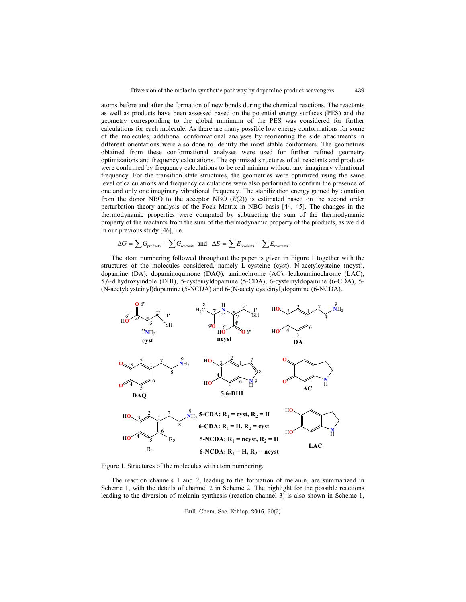atoms before and after the formation of new bonds during the chemical reactions. The reactants as well as products have been assessed based on the potential energy surfaces (PES) and the geometry corresponding to the global minimum of the PES was considered for further calculations for each molecule. As there are many possible low energy conformations for some of the molecules, additional conformational analyses by reorienting the side attachments in different orientations were also done to identify the most stable conformers. The geometries obtained from these conformational analyses were used for further refined geometry optimizations and frequency calculations. The optimized structures of all reactants and products were confirmed by frequency calculations to be real minima without any imaginary vibrational frequency. For the transition state structures, the geometries were optimized using the same level of calculations and frequency calculations were also performed to confirm the presence of one and only one imaginary vibrational frequency. The stabilization energy gained by donation from the donor NBO to the acceptor NBO  $(E(2))$  is estimated based on the second order perturbation theory analysis of the Fock Matrix in NBO basis [44, 45]. The changes in the thermodynamic properties were computed by subtracting the sum of the thermodynamic property of the reactants from the sum of the thermodynamic property of the products, as we did in our previous study [46], i.e.

$$
\Delta G = \sum G_{\rm products} - \sum G_{\rm reactants} \text{ and } \Delta E = \sum E_{\rm products} - \sum E_{\rm reactants} \, .
$$

The atom numbering followed throughout the paper is given in Figure 1 together with the structures of the molecules considered, namely L-cysteine (cyst), N-acetylcysteine (ncyst), dopamine (DA), dopaminoquinone (DAQ), aminochrome (AC), leukoaminochrome (LAC), 5,6-dihydroxyindole (DHI), 5-cysteinyldopamine (5-CDA), 6-cysteinyldopamine (6-CDA), 5- (N-acetylcysteinyl)dopamine (5-NCDA) and 6-(N-acetylcysteinyl)dopamine (6-NCDA).



Figure 1. Structures of the molecules with atom numbering.

The reaction channels 1 and 2, leading to the formation of melanin, are summarized in Scheme 1, with the details of channel 2 in Scheme 2. The highlight for the possible reactions leading to the diversion of melanin synthesis (reaction channel 3) is also shown in Scheme 1,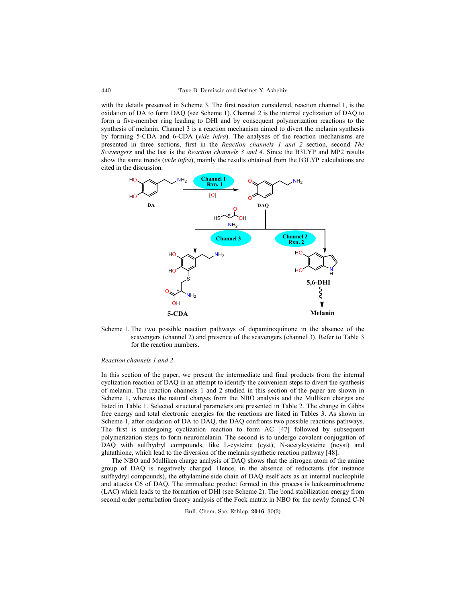with the details presented in Scheme 3. The first reaction considered, reaction channel 1, is the oxidation of DA to form DAQ (see Scheme 1). Channel 2 is the internal cyclization of DAQ to form a five-member ring leading to DHI and by consequent polymerization reactions to the synthesis of melanin. Channel 3 is a reaction mechanism aimed to divert the melanin synthesis by forming 5-CDA and 6-CDA (*vide infra*). The analyses of the reaction mechanisms are presented in three sections, first in the *Reaction channels 1 and 2* section, second *The Scavengers* and the last is the *Reaction channels 3 and 4*. Since the B3LYP and MP2 results show the same trends (*vide infra*), mainly the results obtained from the B3LYP calculations are cited in the discussion.



Scheme 1. The two possible reaction pathways of dopaminoquinone in the absence of the scavengers (channel 2) and presence of the scavengers (channel 3). Refer to Table 3 for the reaction numbers.

### *Reaction channels 1 and 2*

In this section of the paper, we present the intermediate and final products from the internal cyclization reaction of DAQ in an attempt to identify the convenient steps to divert the synthesis of melanin. The reaction channels 1 and 2 studied in this section of the paper are shown in Scheme 1, whereas the natural charges from the NBO analysis and the Mulliken charges are listed in Table 1. Selected structural parameters are presented in Table 2. The change in Gibbs free energy and total electronic energies for the reactions are listed in Tables 3. As shown in Scheme 1, after oxidation of DA to DAQ, the DAQ confronts two possible reactions pathways. The first is undergoing cyclization reaction to form AC [47] followed by subsequent polymerization steps to form neuromelanin. The second is to undergo covalent conjugation of DAQ with sulfhydryl compounds, like L-cysteine (cyst), N-acetylcysteine (ncyst) and glutathione, which lead to the diversion of the melanin synthetic reaction pathway [48].

The NBO and Mulliken charge analysis of DAQ shows that the nitrogen atom of the amine group of DAQ is negatively charged. Hence, in the absence of reductants (for instance sulfhydryl compounds), the ethylamine side chain of DAQ itself acts as an internal nucleophile and attacks C6 of DAQ. The immediate product formed in this process is leukoaminochrome (LAC) which leads to the formation of DHI (see Scheme 2). The bond stabilization energy from second order perturbation theory analysis of the Fock matrix in NBO for the newly formed C-N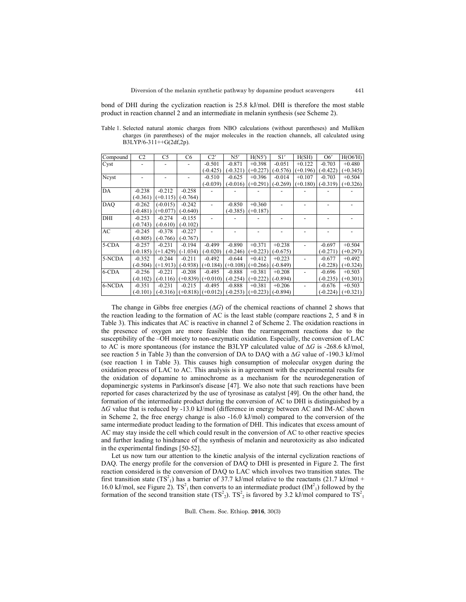bond of DHI during the cyclization reaction is 25.8 kJ/mol. DHI is therefore the most stable product in reaction channel 2 and an intermediate in melanin synthesis (see Scheme 2).

Table 1. Selected natural atomic charges from NBO calculations (without parentheses) and Mulliken charges (in parentheses) of the major molecules in the reaction channels, all calculated using B3LYP/6-311++G(2df,2p).

| Compound   | C <sub>2</sub> | C5         | C <sub>6</sub> | C2'                 | N5'        | H(N5')     | S1'        | H(SH)      | O6'        | H(O6'H)    |
|------------|----------------|------------|----------------|---------------------|------------|------------|------------|------------|------------|------------|
| Cyst       |                |            |                | $-0.501$            | $-0.871$   | $+0.398$   | $-0.051$   | $+0.122$   | $-0.703$   | $+0.480$   |
|            |                |            |                | (-0.425)            | $(-0.321)$ | $(+0.227)$ | $(-0.576)$ | $(+0.196)$ | (-0.422)   | $(+0.345)$ |
| Neyst      |                |            |                | $-0.510$            | $-0.625$   | $+0.396$   | $-0.014$   | $+0.107$   | $-0.703$   | $+0.504$   |
|            |                |            |                | $(-0.039)$          | $(-0.016)$ | $(+0.291)$ | $(-0.269)$ | $(+0.180)$ | $(-0.319)$ | $(+0.326)$ |
| DA         | $-0.238$       | $-0.212$   | $-0.258$       |                     |            |            |            |            |            |            |
|            | $(-0.361)$     | $(+0.115)$ | $(-0.764)$     |                     |            |            |            |            |            |            |
| <b>DAO</b> | $-0.262$       | $(-0.015)$ | $-0.242$       |                     | $-0.850$   | $+0.360$   |            |            |            |            |
|            | $(-0.481)$     | $(+0.077)$ | $(-0.640)$     |                     | $(-0.385)$ | $(+0.187)$ |            |            |            |            |
| DHI        | $-0.253$       | $-0.274$   | $-0.155$       |                     |            |            |            |            |            |            |
|            | $(-0.743)$     | $(-0.610)$ | $(-0.102)$     |                     |            |            |            |            |            |            |
| AC         | $-0.245$       | $-0.378$   | $-0.227$       |                     |            |            |            |            |            |            |
|            | $(-0.805)$     | $(-0.766)$ | $(-0.767)$     |                     |            |            |            |            |            |            |
| 5-CDA      | $-0.257$       | $-0.231$   | $-0.194$       | $-0.499$            | $-0.890$   | $+0.371$   | $+0.238$   |            | $-0.697$   | $+0.504$   |
|            | $(-0.185)$     | $(+1.429)$ | $(-1.034)$     | $(-0.020)$          | $(-0.246)$ | $(+0.223)$ | $(-0.675)$ |            | $(-0.271)$ | $(+0.297)$ |
| 5-NCDA     | $-0.352$       | $-0.244$   | $-0.211$       | $-0.492$            | $-0.644$   | $+0.412$   | $+0.223$   |            | $-0.677$   | $+0.492$   |
|            | $(-0.504)$     | $(+1.913)$ | $(-0.938)$     | $(+0.184)$          | $(+0.108)$ | $(+0.266)$ | $(-0.849)$ |            | $(-0.228)$ | $(+0.324)$ |
| 6-CDA      | $-0.256$       | $-0.221$   | $-0.208$       | $-0.495$            | $-0.888$   | $+0.381$   | $+0.208$   |            | $-0.696$   | $+0.503$   |
|            | $(-0.102)$     | $(-0.116)$ | $(+0.839)$     | $(+0.010)$          | $(-0.254)$ | $(+0.222)$ | $(-0.894)$ |            | $(-0.235)$ | $(+0.301)$ |
| 6-NCDA     | $-0.351$       | $-0.231$   | $-0.215$       | $-0.495$            | $-0.888$   | $+0.381$   | $+0.206$   |            | $-0.676$   | $+0.503$   |
|            | $(-0.101)$     | $-0.316$   |                | $(+0.818)$ (+0.012) | $(-0.253)$ | $(+0.223)$ | $(-0.894)$ |            | $(-0.224)$ | $(+0.321)$ |

The change in Gibbs free energies (∆*G*) of the chemical reactions of channel 2 shows that the reaction leading to the formation of AC is the least stable (compare reactions 2, 5 and 8 in Table 3). This indicates that AC is reactive in channel 2 of Scheme 2. The oxidation reactions in the presence of oxygen are more feasible than the rearrangement reactions due to the susceptibility of the –OH moiety to non-enzymatic oxidation. Especially, the conversion of LAC to AC is more spontaneous (for instance the B3LYP calculated value of ∆*G* is -268.6 kJ/mol, see reaction 5 in Table 3) than the conversion of DA to DAQ with a ∆*G* value of -190.3 kJ/mol (see reaction 1 in Table 3). This causes high consumption of molecular oxygen during the oxidation process of LAC to AC. This analysis is in agreement with the experimental results for the oxidation of dopamine to aminochrome as a mechanism for the neurodegeneration of dopaminergic systems in Parkinson's disease [47]. We also note that such reactions have been reported for cases characterized by the use of tyrosinase as catalyst [49]. On the other hand, the formation of the intermediate product during the conversion of AC to DHI is distinguished by a Δ*G* value that is reduced by -13.0 kJ/mol (difference in energy between AC and IM-AC shown in Scheme 2, the free energy change is also -16.0 kJ/mol) compared to the conversion of the same intermediate product leading to the formation of DHI. This indicates that excess amount of AC may stay inside the cell which could result in the conversion of AC to other reactive species and further leading to hindrance of the synthesis of melanin and neurotoxicity as also indicated in the experimental findings [50-52].

Let us now turn our attention to the kinetic analysis of the internal cyclization reactions of DAQ. The energy profile for the conversion of DAQ to DHI is presented in Figure 2. The first reaction considered is the conversion of DAQ to LAC which involves two transition states. The first transition state  $(TS_1^2)$  has a barrier of 37.7 kJ/mol relative to the reactants (21.7 kJ/mol + 16.0 kJ/mol, see Figure 2).  $TS^2$ <sub>1</sub> then converts to an intermediate product  $(IM^2)$ <sub>1</sub>) followed by the formation of the second transition state  $(TS^2)$ .  $TS^2$  is favored by 3.2 kJ/mol compared to  $TS^2$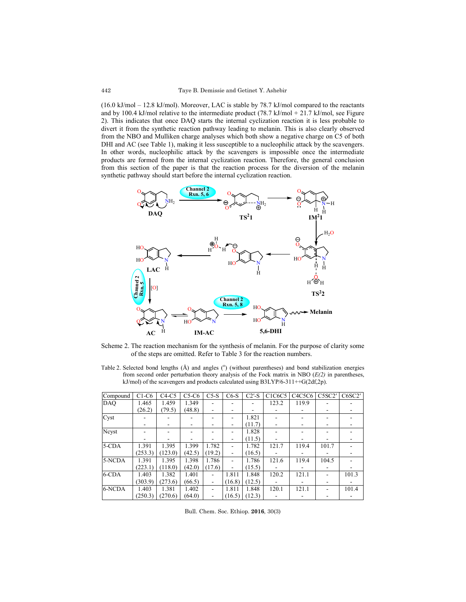(16.0 kJ/mol – 12.8 kJ/mol). Moreover, LAC is stable by 78.7 kJ/mol compared to the reactants and by 100.4 kJ/mol relative to the intermediate product  $(78.7 \text{ kJ/mol} + 21.7 \text{ kJ/mol}$ , see Figure 2). This indicates that once DAQ starts the internal cyclization reaction it is less probable to divert it from the synthetic reaction pathway leading to melanin. This is also clearly observed from the NBO and Mulliken charge analyses which both show a negative charge on C5 of both DHI and AC (see Table 1), making it less susceptible to a nucleophilic attack by the scavengers. In other words, nucleophilic attack by the scavengers is impossible once the intermediate products are formed from the internal cyclization reaction. Therefore, the general conclusion from this section of the paper is that the reaction process for the diversion of the melanin synthetic pathway should start before the internal cyclization reaction.



Scheme 2. The reaction mechanism for the synthesis of melanin. For the purpose of clarity some of the steps are omitted. Refer to Table 3 for the reaction numbers.

Table 2. Selected bond lengths  $(A)$  and angles  $(°)$  (without parentheses) and bond stabilization energies from second order perturbation theory analysis of the Fock matrix in NBO (*E(2)* in parentheses, kJ/mol) of the scavengers and products calculated using  $B3LYP/6-311++G(2df,2p)$ .

| Compound   | $C1-C6$ | $C4-C5$ | $C5-C6$ | $C5-S$ | $C6-S$                   | $C2'$ -S | C1C6C5 | C4C5C6 | C5SC2' | C6SC2' |
|------------|---------|---------|---------|--------|--------------------------|----------|--------|--------|--------|--------|
| <b>DAO</b> | 1.465   | 1.459   | 1.349   |        |                          |          | 123.2  | 119.9  |        |        |
|            | (26.2)  | (79.5)  | (48.8)  |        |                          |          |        |        |        |        |
| Cyst       |         |         |         |        |                          | 1.821    |        |        |        |        |
|            |         |         |         |        | $\overline{\phantom{a}}$ | (11.7)   |        |        |        |        |
| Nevst      |         |         |         |        |                          | 1.828    |        |        |        |        |
|            |         |         |         |        | ۰                        | (11.5)   |        |        |        |        |
| 5-CDA      | 1.391   | 1.395   | 1.399   | 1.782  |                          | 1.782    | 121.7  | 119.4  | 101.7  |        |
|            | (253.3) | (123.0) | (42.5)  | (19.2) | $\overline{a}$           | (16.5)   |        |        |        |        |
| 5-NCDA     | 1.391   | 1.395   | 1.398   | 1.786  |                          | 1.786    | 121.6  | 119.4  | 104.5  |        |
|            | (223.1) | (118.0) | (42.0)  | (17.6) | $\overline{\phantom{a}}$ | (15.5)   |        |        |        |        |
| 6-CDA      | 1.403   | 1.382   | 1.401   |        | 1.811                    | 1.848    | 120.2  | 121.1  |        | 101.3  |
|            | (303.9) | (273.6) | (66.5)  |        | (16.8)                   | (12.5)   |        |        |        |        |
| 6-NCDA     | 1.403   | 1.381   | 1.402   |        | 1.811                    | 1.848    | 120.1  | 121.1  |        | 101.4  |
|            | (250.3) | (270.6) | (64.0)  |        | (16.5)                   | (12.3)   |        |        |        |        |

Bull. Chem. Soc. Ethiop. **2016**, 30(3)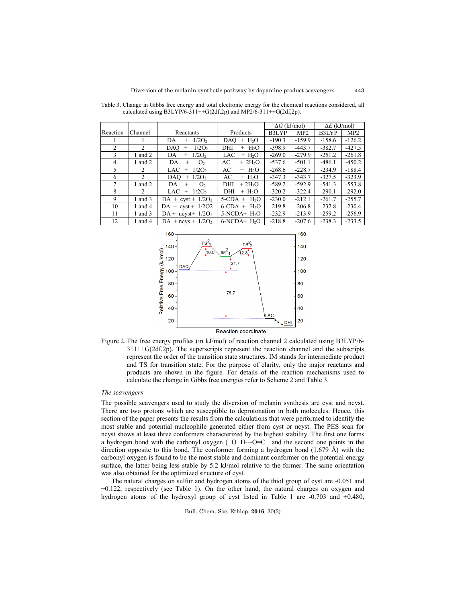443

|          |                |                                    |                                   | $\Delta G$ (kJ/mol) |                 | $\Delta E$ (kJ/mol) |                 |
|----------|----------------|------------------------------------|-----------------------------------|---------------------|-----------------|---------------------|-----------------|
| Reaction | Channel        | Reactants                          | Products                          | B3LYP               | MP <sub>2</sub> | B3LYP               | MP <sub>2</sub> |
|          |                | 1/2O <sub>2</sub><br>DA<br>$^{+}$  | $+ H2O$<br>DAO                    | $-190.3$            | $-159.9$        | $-158.6$            | $-126.2$        |
| 2        | $\mathfrak{D}$ | 1/2O <sub>2</sub><br>DAO<br>$^{+}$ | DHI<br>H <sub>2</sub> O<br>$^{+}$ | $-398.9$            | $-443.7$        | $-382.7$            | $-427.5$        |
| 3        | 1 and 2        | 1/2O <sub>2</sub><br>DA<br>$^{+}$  | LAC<br>$+ H2O$                    | $-269.0$            | $-279.9$        | $-251.2$            | $-261.8$        |
| 4        | 1 and $2$      | DA<br>O <sub>2</sub><br>$^{+}$     | AC<br>$+ 2H2O$                    | $-537.6$            | $-501.1$        | $-486.1$            | $-450.2$        |
| 5        | $\mathfrak{D}$ | 1/2O <sub>2</sub><br>LAC<br>$^{+}$ | AC<br>$+$ H <sub>2</sub> O        | $-268.6$            | $-228.7$        | $-234.9$            | $-188.4$        |
| 6        | $\mathfrak{D}$ | DAO<br>1/2O <sub>2</sub><br>$+$    | AC<br>$+ H2O$                     | $-347.3$            | $-343.7$        | $-327.5$            | $-323.9$        |
| 7        | 1 and $2$      | DA<br>O <sub>2</sub><br>$^{+}$     | $+2H2O$<br>DHI                    | $-589.2$            | $-592.9$        | $-541.3$            | $-553.8$        |
| 8        | $\mathfrak{D}$ | LAC<br>1/2O <sub>2</sub><br>$^{+}$ | $+ H2O$<br>DHI                    | $-320.2$            | $-322.4$        | $-290.1$            | $-292.0$        |
| 9        | 1 and $3$      | $DA + \text{cyst} + 1/2O_2$        | $5-CDA + H2O$                     | $-230.0$            | $-212.1$        | $-261.7$            | $-255.7$        |
| 10       | 1 and 4        | $DA + \text{cyst} + 1/2O2$         | $6$ -CDA + H <sub>2</sub> O       | $-219.8$            | $-206.8$        | $-232.8$            | $-230.4$        |
| 11       | 1 and $3$      | $DA + ncyst + 1/2O_2$              | $5-NCDA+H2O$                      | $-232.9$            | $-213.9$        | $-259.2$            | $-256.9$        |
| 12       | and 4          | DA + ncys + $1/2O2$                | $6-NCDA+H2O$                      | $-218.8$            | $-207.6$        | $-238.3$            | $-233.5$        |

Table 3. Change in Gibbs free energy and total electronic energy for the chemical reactions considered, all calculated using B3LYP/6-311++G(2df,2p) and MP2/6-311++G(2df,2p).





#### *The scavengers*

The possible scavengers used to study the diversion of melanin synthesis are cyst and ncyst. There are two protons which are susceptible to deprotonation in both molecules. Hence, this section of the paper presents the results from the calculations that were performed to identify the most stable and potential nucleophile generated either from cyst or ncyst. The PES scan for ncyst shows at least three conformers characterized by the highest stability. The first one forms a hydrogen bond with the carbonyl oxygen (−O−H---O=C− and the second one points in the direction opposite to this bond. The conformer forming a hydrogen bond  $(1.679 \text{ Å})$  with the carbonyl oxygen is found to be the most stable and dominant conformer on the potential energy surface, the latter being less stable by 5.2 kJ/mol relative to the former. The same orientation was also obtained for the optimized structure of cyst.

The natural charges on sulfur and hydrogen atoms of the thiol group of cyst are -0.051 and +0.122, respectively (see Table 1). On the other hand, the natural charges on oxygen and hydrogen atoms of the hydroxyl group of cyst listed in Table 1 are -0.703 and +0.480,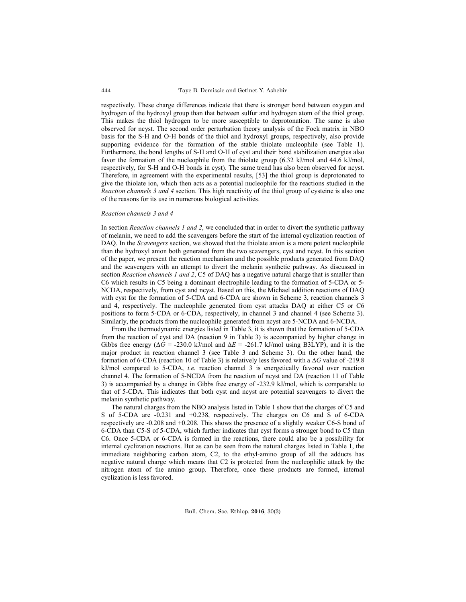respectively. These charge differences indicate that there is stronger bond between oxygen and hydrogen of the hydroxyl group than that between sulfur and hydrogen atom of the thiol group. This makes the thiol hydrogen to be more susceptible to deprotonation. The same is also observed for ncyst. The second order perturbation theory analysis of the Fock matrix in NBO basis for the S-H and O-H bonds of the thiol and hydroxyl groups, respectively, also provide supporting evidence for the formation of the stable thiolate nucleophile (see Table 1). Furthermore, the bond lengths of S-H and O-H of cyst and their bond stabilization energies also favor the formation of the nucleophile from the thiolate group (6.32 kJ/mol and 44.6 kJ/mol, respectively, for S-H and O-H bonds in cyst). The same trend has also been observed for ncyst. Therefore, in agreement with the experimental results, [53] the thiol group is deprotonated to give the thiolate ion, which then acts as a potential nucleophile for the reactions studied in the *Reaction channels 3 and 4* section. This high reactivity of the thiol group of cysteine is also one of the reasons for its use in numerous biological activities.

### *Reaction channels 3 and 4*

In section *Reaction channels 1 and 2*, we concluded that in order to divert the synthetic pathway of melanin, we need to add the scavengers before the start of the internal cyclization reaction of DAQ. In the *Scavengers* section, we showed that the thiolate anion is a more potent nucleophile than the hydroxyl anion both generated from the two scavengers, cyst and ncyst. In this section of the paper, we present the reaction mechanism and the possible products generated from DAQ and the scavengers with an attempt to divert the melanin synthetic pathway. As discussed in section *Reaction channels 1 and 2*, C5 of DAQ has a negative natural charge that is smaller than C6 which results in C5 being a dominant electrophile leading to the formation of 5-CDA or 5- NCDA, respectively, from cyst and ncyst. Based on this, the Michael addition reactions of DAQ with cyst for the formation of 5-CDA and 6-CDA are shown in Scheme 3, reaction channels 3 and 4, respectively. The nucleophile generated from cyst attacks DAQ at either C5 or C6 positions to form 5-CDA or 6-CDA, respectively, in channel 3 and channel 4 (see Scheme 3). Similarly, the products from the nucleophile generated from ncyst are 5-NCDA and 6-NCDA.

From the thermodynamic energies listed in Table 3, it is shown that the formation of 5-CDA from the reaction of cyst and DA (reaction 9 in Table 3) is accompanied by higher change in Gibbs free energy ( $\Delta G$  = -230.0 kJ/mol and  $\Delta E$  = -261.7 kJ/mol using B3LYP), and it is the major product in reaction channel 3 (see Table 3 and Scheme 3). On the other hand, the formation of 6-CDA (reaction 10 of Table 3) is relatively less favored with a ∆*G* value of -219.8 kJ/mol compared to 5-CDA, *i.e.* reaction channel 3 is energetically favored over reaction channel 4. The formation of 5-NCDA from the reaction of ncyst and DA (reaction 11 of Table 3) is accompanied by a change in Gibbs free energy of -232.9 kJ/mol, which is comparable to that of 5-CDA. This indicates that both cyst and ncyst are potential scavengers to divert the melanin synthetic pathway.

The natural charges from the NBO analysis listed in Table 1 show that the charges of C5 and S of 5-CDA are -0.231 and +0.238, respectively. The charges on C6 and S of 6-CDA respectively are -0.208 and +0.208. This shows the presence of a slightly weaker C6-S bond of 6-CDA than C5-S of 5-CDA, which further indicates that cyst forms a stronger bond to C5 than C6. Once 5-CDA or 6-CDA is formed in the reactions, there could also be a possibility for internal cyclization reactions. But as can be seen from the natural charges listed in Table 1, the immediate neighboring carbon atom, C2, to the ethyl-amino group of all the adducts has negative natural charge which means that C2 is protected from the nucleophilic attack by the nitrogen atom of the amino group. Therefore, once these products are formed, internal cyclization is less favored.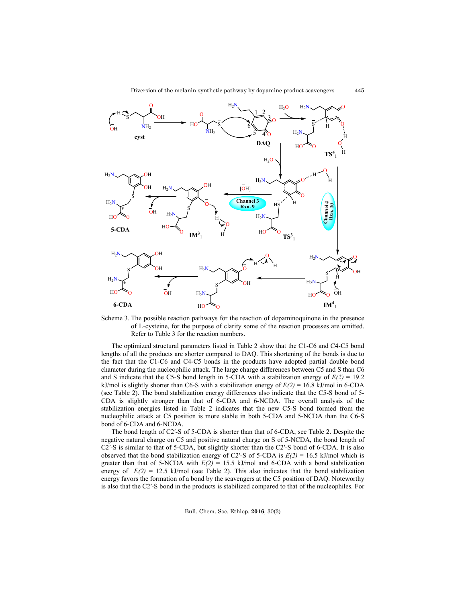445



Scheme 3. The possible reaction pathways for the reaction of dopaminoquinone in the presence of L-cysteine, for the purpose of clarity some of the reaction processes are omitted. Refer to Table 3 for the reaction numbers.

The optimized structural parameters listed in Table 2 show that the C1-C6 and C4-C5 bond lengths of all the products are shorter compared to DAQ. This shortening of the bonds is due to the fact that the C1-C6 and C4-C5 bonds in the products have adopted partial double bond character during the nucleophilic attack. The large charge differences between C5 and S than C6 and S indicate that the C5-S bond length in 5-CDA with a stabilization energy of  $E(2) = 19.2$ kJ/mol is slightly shorter than C6-S with a stabilization energy of *E(2)* = 16.8 kJ/mol in 6-CDA (see Table 2). The bond stabilization energy differences also indicate that the C5-S bond of 5- CDA is slightly stronger than that of 6-CDA and 6-NCDA. The overall analysis of the stabilization energies listed in Table 2 indicates that the new C5-S bond formed from the nucleophilic attack at C5 position is more stable in both 5-CDA and 5-NCDA than the C6-S bond of 6-CDA and 6-NCDA.

The bond length of C2′-S of 5-CDA is shorter than that of 6-CDA, see Table 2. Despite the negative natural charge on C5 and positive natural charge on S of 5-NCDA, the bond length of C2′-S is similar to that of 5-CDA, but slightly shorter than the C2′-S bond of 6-CDA. It is also observed that the bond stabilization energy of C2'-S of 5-CDA is  $E(2) = 16.5$  kJ/mol which is greater than that of 5-NCDA with  $E(2) = 15.5$  kJ/mol and 6-CDA with a bond stabilization energy of  $E(2) = 12.5$  kJ/mol (see Table 2). This also indicates that the bond stabilization energy favors the formation of a bond by the scavengers at the C5 position of DAQ. Noteworthy is also that the C2′-S bond in the products is stabilized compared to that of the nucleophiles. For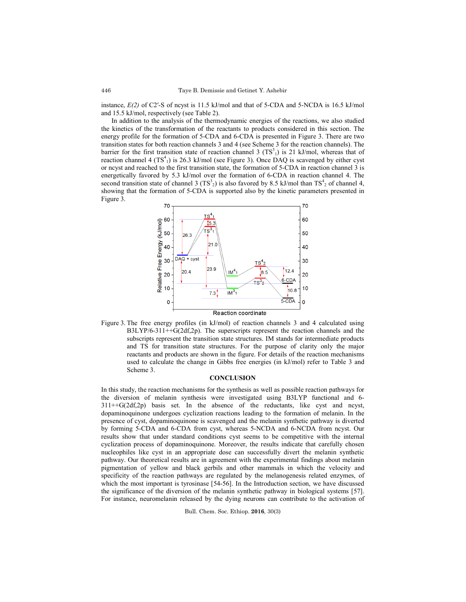instance, *E(2)* of C2′-S of ncyst is 11.5 kJ/mol and that of 5-CDA and 5-NCDA is 16.5 kJ/mol and 15.5 kJ/mol, respectively (see Table 2).

In addition to the analysis of the thermodynamic energies of the reactions, we also studied the kinetics of the transformation of the reactants to products considered in this section. The energy profile for the formation of 5-CDA and 6-CDA is presented in Figure 3. There are two transition states for both reaction channels 3 and 4 (see Scheme 3 for the reaction channels). The barrier for the first transition state of reaction channel 3  $(TS<sup>3</sup>)$  is 21 kJ/mol, whereas that of reaction channel 4  $(TS<sup>4</sup><sub>1</sub>)$  is 26.3 kJ/mol (see Figure 3). Once DAQ is scavenged by either cyst or ncyst and reached to the first transition state, the formation of 5-CDA in reaction channel 3 is energetically favored by 5.3 kJ/mol over the formation of 6-CDA in reaction channel 4. The second transition state of channel 3 (TS<sup>3</sup><sub>2</sub>) is also favored by 8.5 kJ/mol than TS<sup>4</sup><sub>2</sub> of channel 4, showing that the formation of 5-CDA is supported also by the kinetic parameters presented in Figure 3.



Figure 3. The free energy profiles (in kJ/mol) of reaction channels 3 and 4 calculated using B3LYP/6-311++G(2df,2p). The superscripts represent the reaction channels and the subscripts represent the transition state structures. IM stands for intermediate products and TS for transition state structures. For the purpose of clarity only the major reactants and products are shown in the figure. For details of the reaction mechanisms used to calculate the change in Gibbs free energies (in kJ/mol) refer to Table 3 and Scheme 3.

### **CONCLUSION**

In this study, the reaction mechanisms for the synthesis as well as possible reaction pathways for the diversion of melanin synthesis were investigated using B3LYP functional and 6-  $311++G(2df,2p)$  basis set. In the absence of the reductants, like cyst and ncyst, dopaminoquinone undergoes cyclization reactions leading to the formation of melanin. In the presence of cyst, dopaminoquinone is scavenged and the melanin synthetic pathway is diverted by forming 5-CDA and 6-CDA from cyst, whereas 5-NCDA and 6-NCDA from ncyst. Our results show that under standard conditions cyst seems to be competitive with the internal cyclization process of dopaminoquinone. Moreover, the results indicate that carefully chosen nucleophiles like cyst in an appropriate dose can successfully divert the melanin synthetic pathway. Our theoretical results are in agreement with the experimental findings about melanin pigmentation of yellow and black gerbils and other mammals in which the velocity and specificity of the reaction pathways are regulated by the melanogenesis related enzymes, of which the most important is tyrosinase [54-56]. In the Introduction section, we have discussed the significance of the diversion of the melanin synthetic pathway in biological systems [57]. For instance, neuromelanin released by the dying neurons can contribute to the activation of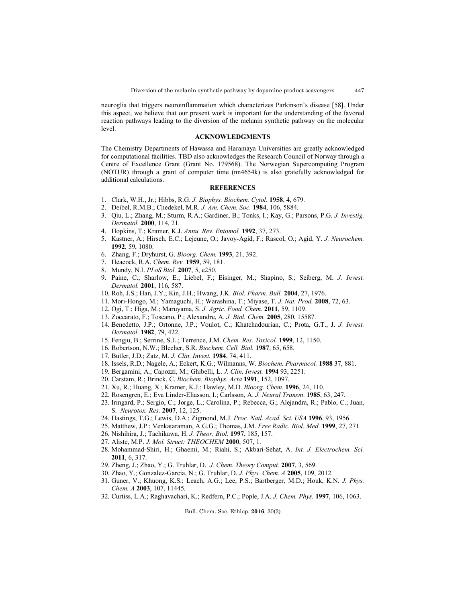447

neuroglia that triggers neuroinflammation which characterizes Parkinson's disease [58]. Under this aspect, we believe that our present work is important for the understanding of the favored reaction pathways leading to the diversion of the melanin synthetic pathway on the molecular level.

### **ACKNOWLEDGMENTS**

The Chemistry Departments of Hawassa and Haramaya Universities are greatly acknowledged for computational facilities. TBD also acknowledges the Research Council of Norway through a Centre of Excellence Grant (Grant No. 179568). The Norwegian Supercomputing Program (NOTUR) through a grant of computer time (nn4654k) is also gratefully acknowledged for additional calculations.

### **REFERENCES**

- 1. Clark, W.H., Jr.; Hibbs, R.G. *J. Biophys. Biochem. Cytol.* **1958**, 4, 679.
- 2. Deibel, R.M.B.; Chedekel, M.R. *J. Am. Chem. Soc.* **1984**, 106, 5884.
- 3. Qiu, L.; Zhang, M.; Sturm, R.A.; Gardiner, B.; Tonks, I.; Kay, G.; Parsons, P.G. *J. Investig. Dermatol.* **2000**, 114, 21.
- 4. Hopkins, T.; Kramer, K.J. *Annu. Rev. Entomol.* **1992**, 37, 273.
- 5. Kastner, A.; Hirsch, E.C.; Lejeune, O.; Javoy-Agid, F.; Rascol, O.; Agid, Y. *J. Neurochem.* **1992**, 59, 1080.
- 6. Zhang, F.; Dryhurst, G. *Bioorg. Chem.* **1993**, 21, 392.
- 7. Heacock, R.A. *Chem. Rev.* **1959**, 59, 181.
- 8. Mundy, N.I. *PLoS Biol.* **2007**, 5, e250.
- 9. Paine, C.; Sharlow, E.; Liebel, F.; Eisinger, M.; Shapino, S.; Seiberg, M. *J. Invest. Dermatol.* **2001**, 116, 587.
- 10. Roh, J.S.; Han, J.Y.; Kin, J.H.; Hwang, J.K. *Biol. Pharm. Bull.* **2004**, 27, 1976.
- 11. Mori-Hongo, M.; Yamaguchi, H.; Warashina, T.; Miyase, T. *J. Nat. Prod.* **2008**, 72, 63.
- 12. Ogi, T.; Higa, M.; Maruyama, S. *J. Agric. Food. Chem.* **2011**, 59, 1109.
- 13. Zoccarato, F.; Toscano, P.; Alexandre, A. *J. Biol. Chem.* **2005**, 280, 15587.
- 14. Benedetto, J.P.; Ortonne, J.P.; Voulot, C.; Khatchadourian, C.; Prota, G.T., J. *J. Invest. Dermatol.* **1982**, 79, 422.
- 15. Fengju, B.; Serrine, S.L.; Terrence, J.M. *Chem. Res. Toxicol.* **1999**, 12, 1150.
- 16. Robertson, N.W.; Blecher, S.R. *Biochem. Cell. Biol.* **1987**, 65, 658.
- 17. Butler, J.D.; Zatz, M. *J. Clin. Invest.* **1984**, 74, 411.
- 18. Issels, R.D.; Nagele, A.; Eckert, K.G.; Wilmanns, W. *Biochem. Pharmacol.* **1988** 37, 881.
- 19. Bergamini, A.; Capozzi, M.; Ghibelli, L. *J. Clin. Invest.* **1994** 93, 2251.
- 20. Carstam, R.; Brinck, C. *Biochem. Biophys. Acta* **1991**, 152, 1097.
- 21. Xu, R.; Huang, X.; Kramer, K.J.; Hawley, M.D. *Bioorg. Chem.* **1996**, 24, 110.
- 22. Rosengren, E.; Eva Linder-Eliasson, I.; Carlsson, A. *J. Neural Transm*. **1985**, 63, 247.
- 23. Irmgard, P.; Sergio, C.; Jorge, L.; Carolina, P.; Rebecca, G.; Alejandra, R.; Pablo, C.; Juan, S. *Neurotox. Res.* **2007**, 12, 125.
- 24. Hastings, T.G.; Lewis, D.A.; Zigmond, M.J. *Proc. Natl. Acad. Sci. USA* **1996**, 93, 1956.
- 25. Matthew, J.P.; Venkataraman, A.G.G.; Thomas, J.M. *Free Radic. Biol. Med.* **1999**, 27, 271.
- 26. Nishihira, J.; Tachikawa, H. *J. Theor. Biol.* **1997**, 185, 157.
- 27. Aliste, M.P. *J. Mol. Struct: THEOCHEM* **2000**, 507, 1.
- 28. Mohammad-Shiri, H.; Ghaemi, M.; Riahi, S.; Akbari-Sehat, A. *Int. J. Electrochem. Sci.* **2011**, 6, 317.
- 29. Zheng, J.; Zhao, Y.; G. Truhlar, D. *J. Chem. Theory Comput.* **2007**, 3, 569.
- 30. Zhao, Y.; Gonzalez-Garcia, N.; G. Truhlar, D. *J. Phys. Chem. A* **2005**, 109, 2012.
- 31. Guner, V.; Khuong, K.S.; Leach, A.G.; Lee, P.S.; Bartberger, M.D.; Houk, K.N. *J. Phys. Chem. A* **2003**, 107, 11445.
- 32. Curtiss, L.A.; Raghavachari, K.; Redfern, P.C.; Pople, J.A. *J. Chem. Phys.* **1997**, 106, 1063.